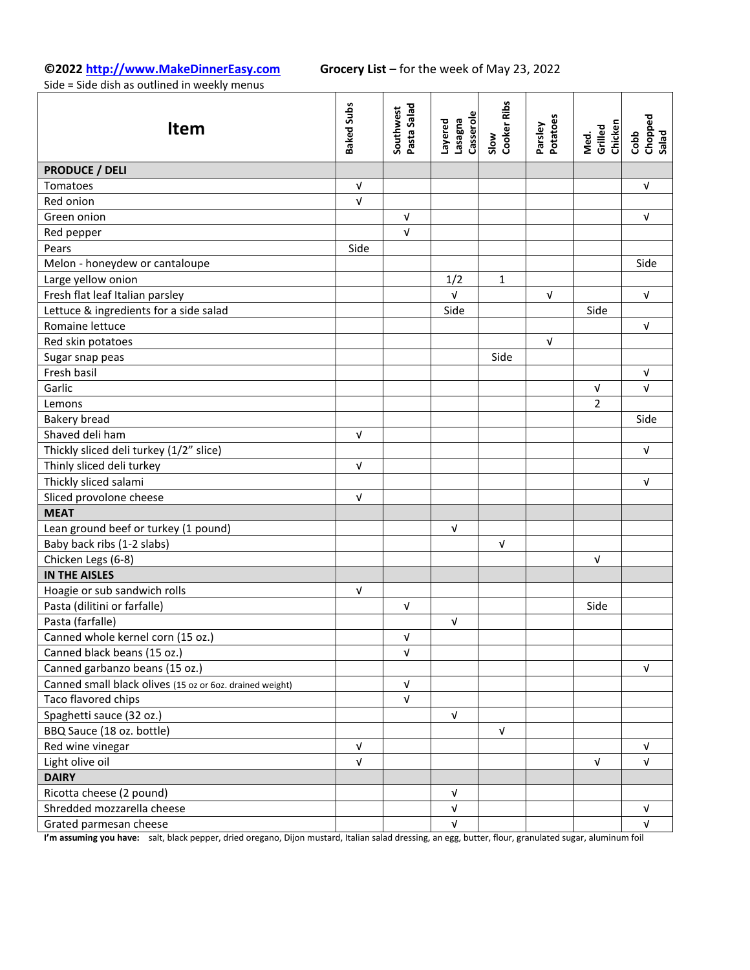# **©2022 [http://www.MakeDinnerEasy.com](http://www.makedinnereasy.com/) Grocery List** – for the week of May 23, 2022

Side = Side dish as outlined in weekly menus

| <b>Item</b>                                              | <b>Baked Subs</b>         | Southwest<br>Pasta Salad | Casserole<br>Layered<br><b>Eu</b> gese1 | Slow<br>Cooker Ribs | Parsley<br>Potatoes | Med.<br>Grilled<br>Chicken | Chopped<br>Salad<br>Cobb |
|----------------------------------------------------------|---------------------------|--------------------------|-----------------------------------------|---------------------|---------------------|----------------------------|--------------------------|
| <b>PRODUCE / DELI</b>                                    |                           |                          |                                         |                     |                     |                            |                          |
| Tomatoes                                                 | $\ensuremath{\mathsf{V}}$ |                          |                                         |                     |                     |                            | $\sqrt{ }$               |
| Red onion                                                | $\sqrt{ }$                |                          |                                         |                     |                     |                            |                          |
| Green onion                                              |                           | $\sqrt{ }$               |                                         |                     |                     |                            | $\sqrt{ }$               |
| Red pepper                                               |                           | $\sqrt{ }$               |                                         |                     |                     |                            |                          |
| Pears                                                    | Side                      |                          |                                         |                     |                     |                            |                          |
| Melon - honeydew or cantaloupe                           |                           |                          |                                         |                     |                     |                            | Side                     |
| Large yellow onion                                       |                           |                          | 1/2                                     | $\mathbf 1$         |                     |                            |                          |
| Fresh flat leaf Italian parsley                          |                           |                          | $\sqrt{ }$                              |                     | $\sqrt{ }$          |                            | $\sqrt{ }$               |
| Lettuce & ingredients for a side salad                   |                           |                          | Side                                    |                     |                     | Side                       |                          |
| Romaine lettuce                                          |                           |                          |                                         |                     |                     |                            | $\sqrt{ }$               |
| Red skin potatoes                                        |                           |                          |                                         |                     | $\sqrt{ }$          |                            |                          |
| Sugar snap peas                                          |                           |                          |                                         | Side                |                     |                            |                          |
| Fresh basil                                              |                           |                          |                                         |                     |                     |                            | $\sqrt{ }$               |
| Garlic                                                   |                           |                          |                                         |                     |                     | $\sqrt{ }$                 | $\sqrt{ }$               |
| Lemons                                                   |                           |                          |                                         |                     |                     | 2                          |                          |
| <b>Bakery bread</b>                                      |                           |                          |                                         |                     |                     |                            | Side                     |
| Shaved deli ham                                          | $\sqrt{ }$                |                          |                                         |                     |                     |                            |                          |
| Thickly sliced deli turkey (1/2" slice)                  |                           |                          |                                         |                     |                     |                            | $\sqrt{ }$               |
| Thinly sliced deli turkey                                | $\sqrt{ }$                |                          |                                         |                     |                     |                            |                          |
| Thickly sliced salami                                    |                           |                          |                                         |                     |                     |                            | $\sqrt{ }$               |
| Sliced provolone cheese                                  | $\sqrt{ }$                |                          |                                         |                     |                     |                            |                          |
| <b>MEAT</b>                                              |                           |                          |                                         |                     |                     |                            |                          |
| Lean ground beef or turkey (1 pound)                     |                           |                          | V                                       |                     |                     |                            |                          |
| Baby back ribs (1-2 slabs)                               |                           |                          |                                         | $\sqrt{ }$          |                     |                            |                          |
| Chicken Legs (6-8)                                       |                           |                          |                                         |                     |                     | $\sqrt{ }$                 |                          |
| <b>IN THE AISLES</b>                                     |                           |                          |                                         |                     |                     |                            |                          |
| Hoagie or sub sandwich rolls                             | $\sqrt{ }$                |                          |                                         |                     |                     |                            |                          |
| Pasta (dilitini or farfalle)                             |                           | $\sqrt{ }$               |                                         |                     |                     | Side                       |                          |
| Pasta (farfalle)                                         |                           |                          | V                                       |                     |                     |                            |                          |
| Canned whole kernel corn (15 oz.)                        |                           | $\sqrt{ }$               |                                         |                     |                     |                            |                          |
| Canned black beans (15 oz.)                              |                           | $\sqrt{ }$               |                                         |                     |                     |                            |                          |
| Canned garbanzo beans (15 oz.)                           |                           |                          |                                         |                     |                     |                            | $\sqrt{ }$               |
| Canned small black olives (15 oz or 6oz. drained weight) |                           | $\sqrt{ }$               |                                         |                     |                     |                            |                          |
| Taco flavored chips                                      |                           | $\sqrt{ }$               |                                         |                     |                     |                            |                          |
| Spaghetti sauce (32 oz.)                                 |                           |                          | $\sqrt{ }$                              |                     |                     |                            |                          |
| BBQ Sauce (18 oz. bottle)                                |                           |                          |                                         | V                   |                     |                            |                          |
| Red wine vinegar                                         | $\sqrt{ }$                |                          |                                         |                     |                     |                            | $\sqrt{ }$               |
| Light olive oil                                          | $\sqrt{ }$                |                          |                                         |                     |                     | $\sqrt{ }$                 | $\sqrt{ }$               |
| <b>DAIRY</b>                                             |                           |                          |                                         |                     |                     |                            |                          |
| Ricotta cheese (2 pound)                                 |                           |                          | V                                       |                     |                     |                            |                          |
| Shredded mozzarella cheese                               |                           |                          | $\sqrt{ }$                              |                     |                     |                            | $\sqrt{ }$               |
| Grated parmesan cheese                                   |                           |                          | $\sqrt{ }$                              |                     |                     |                            | $\sqrt{ }$               |

**I'm assuming you have:** salt, black pepper, dried oregano, Dijon mustard, Italian salad dressing, an egg, butter, flour, granulated sugar, aluminum foil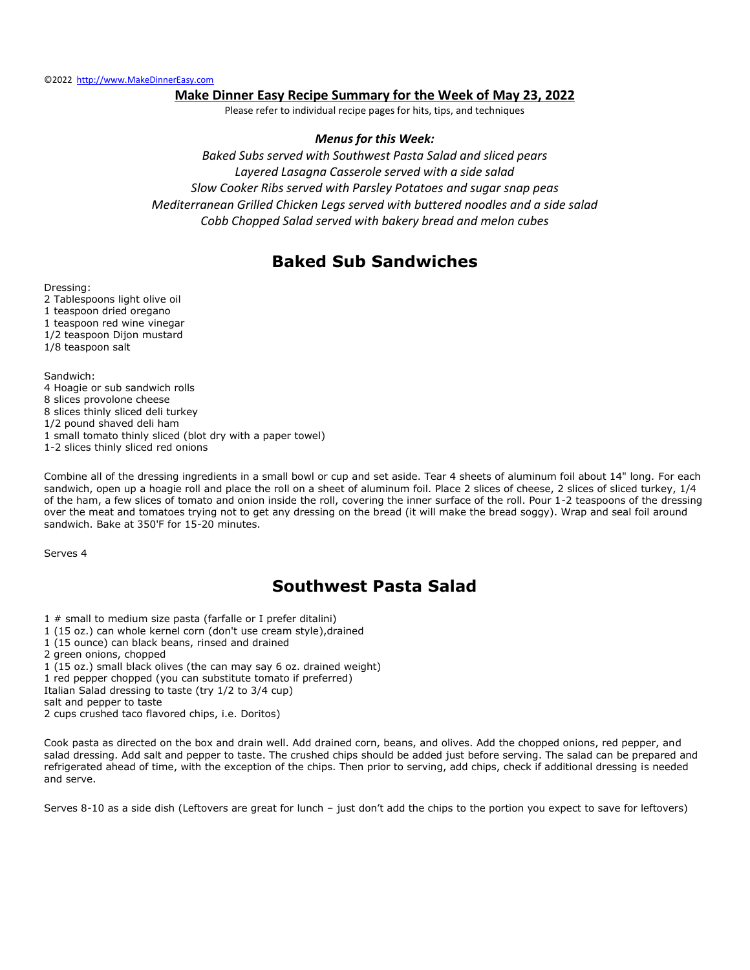#### **Make Dinner Easy Recipe Summary for the Week of May 23, 2022**

Please refer to individual recipe pages for hits, tips, and techniques

#### *Menus for this Week:*

*Baked Subs served with Southwest Pasta Salad and sliced pears Layered Lasagna Casserole served with a side salad Slow Cooker Ribs served with Parsley Potatoes and sugar snap peas Mediterranean Grilled Chicken Legs served with buttered noodles and a side salad Cobb Chopped Salad served with bakery bread and melon cubes*

### **Baked Sub Sandwiches**

Dressing:

2 Tablespoons light olive oil 1 teaspoon dried oregano 1 teaspoon red wine vinegar 1/2 teaspoon Dijon mustard 1/8 teaspoon salt

Sandwich: 4 Hoagie or sub sandwich rolls 8 slices provolone cheese 8 slices thinly sliced deli turkey 1/2 pound shaved deli ham 1 small tomato thinly sliced (blot dry with a paper towel) 1-2 slices thinly sliced red onions

Combine all of the dressing ingredients in a small bowl or cup and set aside. Tear 4 sheets of aluminum foil about 14" long. For each sandwich, open up a hoagie roll and place the roll on a sheet of aluminum foil. Place 2 slices of cheese, 2 slices of sliced turkey, 1/4 of the ham, a few slices of tomato and onion inside the roll, covering the inner surface of the roll. Pour 1-2 teaspoons of the dressing over the meat and tomatoes trying not to get any dressing on the bread (it will make the bread soggy). Wrap and seal foil around sandwich. Bake at 350'F for 15-20 minutes.

Serves 4

## **Southwest Pasta Salad**

- 1 # small to medium size pasta (farfalle or I prefer ditalini)
- 1 (15 oz.) can whole kernel corn (don't use cream style),drained
- 1 (15 ounce) can black beans, rinsed and drained
- 2 green onions, chopped
- 1 (15 oz.) small black olives (the can may say 6 oz. drained weight)
- 1 red pepper chopped (you can substitute tomato if preferred)
- Italian Salad dressing to taste (try 1/2 to 3/4 cup)

salt and pepper to taste

Cook pasta as directed on the box and drain well. Add drained corn, beans, and olives. Add the chopped onions, red pepper, and salad dressing. Add salt and pepper to taste. The crushed chips should be added just before serving. The salad can be prepared and refrigerated ahead of time, with the exception of the chips. Then prior to serving, add chips, check if additional dressing is needed and serve.

Serves 8-10 as a side dish (Leftovers are great for lunch – just don't add the chips to the portion you expect to save for leftovers)

<sup>2</sup> cups crushed taco flavored chips, i.e. Doritos)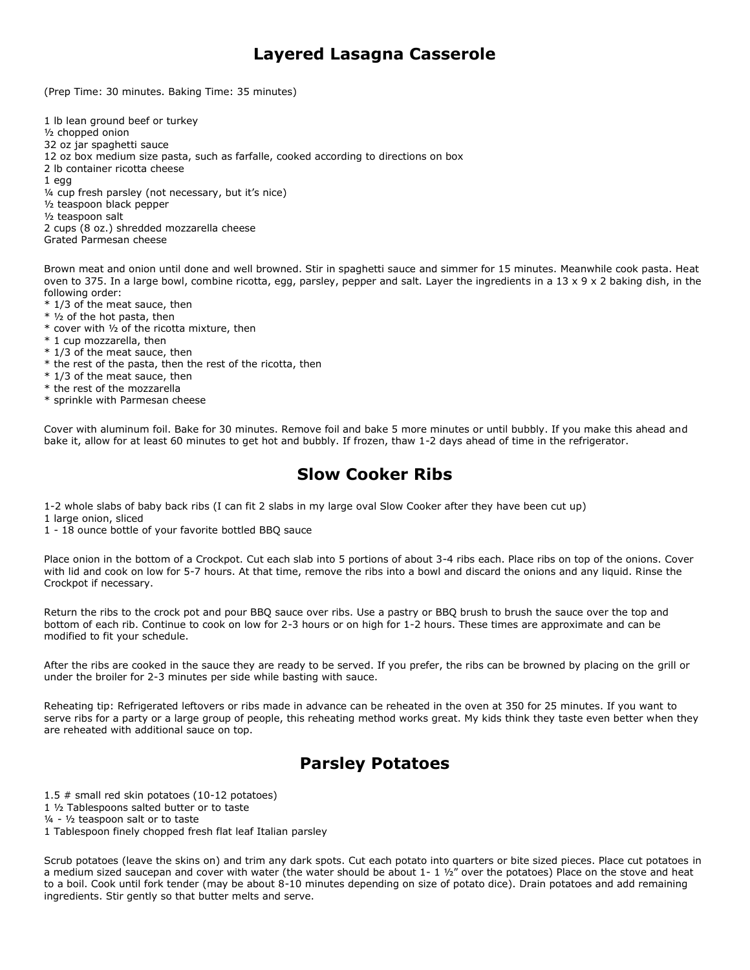### **Layered Lasagna Casserole**

(Prep Time: 30 minutes. Baking Time: 35 minutes)

1 lb lean ground beef or turkey ½ chopped onion 32 oz jar spaghetti sauce 12 oz box medium size pasta, such as farfalle, cooked according to directions on box 2 lb container ricotta cheese 1 egg ¼ cup fresh parsley (not necessary, but it's nice) ½ teaspoon black pepper ½ teaspoon salt 2 cups (8 oz.) shredded mozzarella cheese

Grated Parmesan cheese

Brown meat and onion until done and well browned. Stir in spaghetti sauce and simmer for 15 minutes. Meanwhile cook pasta. Heat oven to 375. In a large bowl, combine ricotta, egg, parsley, pepper and salt. Layer the ingredients in a  $13 \times 9 \times 2$  baking dish, in the following order:

- \* 1/3 of the meat sauce, then
- \* ½ of the hot pasta, then
- \* cover with ½ of the ricotta mixture, then
- \* 1 cup mozzarella, then
- \* 1/3 of the meat sauce, then
- \* the rest of the pasta, then the rest of the ricotta, then
- \* 1/3 of the meat sauce, then
- \* the rest of the mozzarella
- \* sprinkle with Parmesan cheese

Cover with aluminum foil. Bake for 30 minutes. Remove foil and bake 5 more minutes or until bubbly. If you make this ahead and bake it, allow for at least 60 minutes to get hot and bubbly. If frozen, thaw 1-2 days ahead of time in the refrigerator.

#### **Slow Cooker Ribs**

1-2 whole slabs of baby back ribs (I can fit 2 slabs in my large oval Slow Cooker after they have been cut up)

1 large onion, sliced

1 - 18 ounce bottle of your favorite bottled BBQ sauce

Place onion in the bottom of a Crockpot. Cut each slab into 5 portions of about 3-4 ribs each. Place ribs on top of the onions. Cover with lid and cook on low for 5-7 hours. At that time, remove the ribs into a bowl and discard the onions and any liquid. Rinse the Crockpot if necessary.

Return the ribs to the crock pot and pour BBQ sauce over ribs. Use a pastry or BBQ brush to brush the sauce over the top and bottom of each rib. Continue to cook on low for 2-3 hours or on high for 1-2 hours. These times are approximate and can be modified to fit your schedule.

After the ribs are cooked in the sauce they are ready to be served. If you prefer, the ribs can be browned by placing on the grill or under the broiler for 2-3 minutes per side while basting with sauce.

Reheating tip: Refrigerated leftovers or ribs made in advance can be reheated in the oven at 350 for 25 minutes. If you want to serve ribs for a party or a large group of people, this reheating method works great. My kids think they taste even better when they are reheated with additional sauce on top.

## **Parsley Potatoes**

1.5 # small red skin potatoes (10-12 potatoes)

1 ½ Tablespoons salted butter or to taste

¼ - ½ teaspoon salt or to taste

1 Tablespoon finely chopped fresh flat leaf Italian parsley

Scrub potatoes (leave the skins on) and trim any dark spots. Cut each potato into quarters or bite sized pieces. Place cut potatoes in a medium sized saucepan and cover with water (the water should be about  $1 - 1$   $1/2$ " over the potatoes) Place on the stove and heat to a boil. Cook until fork tender (may be about 8-10 minutes depending on size of potato dice). Drain potatoes and add remaining ingredients. Stir gently so that butter melts and serve.